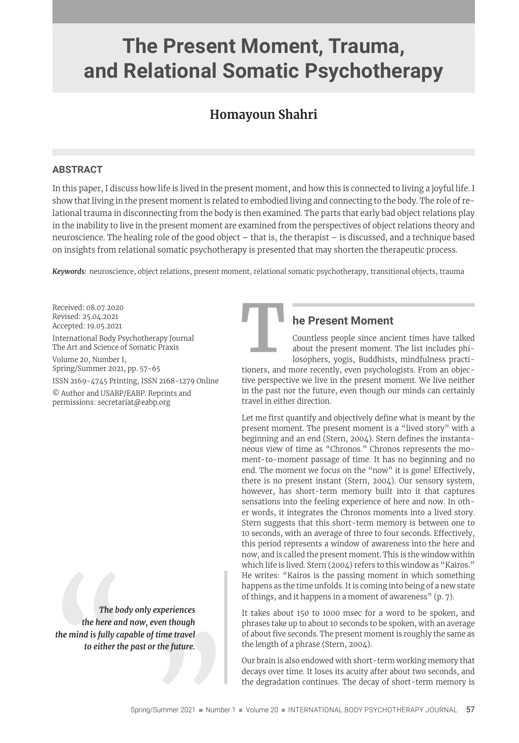# **The Present Moment, Trauma, and Relational Somatic Psychotherapy**

## **Homayoun Shahri**

#### **ABSTRACT**

In this paper, I discuss how life is lived in the present moment, and how this is connected to living a joyful life. I show that living in the present moment is related to embodied living and connecting to the body. The role of relational trauma in disconnecting from the body is then examined. The parts that early bad object relations play in the inability to live in the present moment are examined from the perspectives of object relations theory and neuroscience. The healing role of the good object – that is, the therapist – is discussed, and a technique based on insights from relational somatic psychotherapy is presented that may shorten the therapeutic process.

*Keywords:* neuroscience, object relations, present moment, relational somatic psychotherapy, transitional objects, trauma

Received: 08.07.2020 Revised: 25.04.2021 Accepted: 19.05.2021

International Body Psychotherapy Journal The Art and Science of Somatic Praxis

Volume 20, Number 1, Spring/Summer 2021, pp. 57-65

ISSN 2169-4745 Printing, ISSN 2168-1279 Online

© Author and USABP/EABP. Reprints and permissions: secretariat@eabp.org

The boot the here and the mind is fully cap to either the state of the state of the state of the state of the state of the state of the state of the state of the state of the state of the state of the state of the state of  *The body only experiences the here and now, even though the mind is fully capable of time travel to either the past or the future.*



## **he Present Moment**

Countless people since ancient times have talked about the present moment. The list includes philosophers, yogis, Buddhists, mindfulness practi-

tioners, and more recently, even psychologists. From an objective perspective we live in the present moment. We live neither in the past nor the future, even though our minds can certainly travel in either direction.

Let me first quantify and objectively define what is meant by the present moment. The present moment is a "lived story" with a beginning and an end (Stern, 2004). Stern defines the instantaneous view of time as "Chronos." Chronos represents the moment-to-moment passage of time. It has no beginning and no end. The moment we focus on the "now" it is gone! Effectively, there is no present instant (Stern, 2004). Our sensory system, however, has short-term memory built into it that captures sensations into the feeling experience of here and now. In other words, it integrates the Chronos moments into a lived story. Stern suggests that this short-term memory is between one to 10 seconds, with an average of three to four seconds. Effectively, this period represents a window of awareness into the here and now, and is called the present moment. This is the window within which life is lived. Stern (2004) refers to this window as "Kairos." He writes: "Kairos is the passing moment in which something happens as the time unfolds. It is coming into being of a new state of things, and it happens in a moment of awareness" (p. 7).

It takes about 150 to 1000 msec for a word to be spoken, and phrases take up to about 10 seconds to be spoken, with an average of about five seconds. The present moment is roughly the same as the length of a phrase (Stern, 2004).

Our brain is also endowed with short-term working memory that decays over time. It loses its acuity after about two seconds, and Fine juture.<br>Our brain is also endowed with short-term working memory that<br>decays over time. It loses its acuity after about two seconds, and<br>the degradation continues. The decay of short-term memory is<br>"Summer 2021 " Numb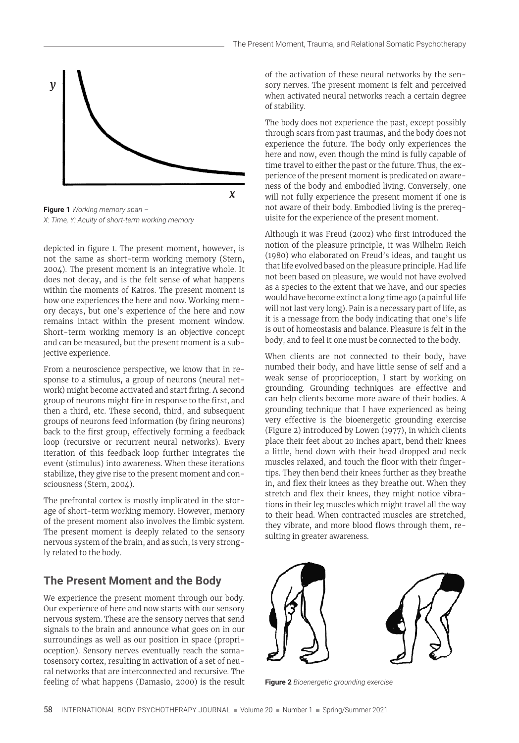

*X: Time, Y: Acuity of short-term working memory*

depicted in figure 1. The present moment, however, is not the same as short-term working memory (Stern, 2004). The present moment is an integrative whole. It does not decay, and is the felt sense of what happens within the moments of Kairos. The present moment is how one experiences the here and now. Working memory decays, but one's experience of the here and now remains intact within the present moment window. Short-term working memory is an objective concept and can be measured, but the present moment is a subjective experience.

From a neuroscience perspective, we know that in response to a stimulus, a group of neurons (neural network) might become activated and start firing. A second group of neurons might fire in response to the first, and then a third, etc. These second, third, and subsequent groups of neurons feed information (by firing neurons) back to the first group, effectively forming a feedback loop (recursive or recurrent neural networks). Every iteration of this feedback loop further integrates the event (stimulus) into awareness. When these iterations stabilize, they give rise to the present moment and consciousness (Stern, 2004).

The prefrontal cortex is mostly implicated in the storage of short-term working memory. However, memory of the present moment also involves the limbic system. The present moment is deeply related to the sensory nervous system of the brain, and as such, is very strongly related to the body.

## **The Present Moment and the Body**

We experience the present moment through our body. Our experience of here and now starts with our sensory nervous system. These are the sensory nerves that send signals to the brain and announce what goes on in our surroundings as well as our position in space (proprioception). Sensory nerves eventually reach the somatosensory cortex, resulting in activation of a set of neural networks that are interconnected and recursive. The feeling of what happens (Damasio, 2000) is the result of the activation of these neural networks by the sensory nerves. The present moment is felt and perceived when activated neural networks reach a certain degree of stability.

The body does not experience the past, except possibly through scars from past traumas, and the body does not experience the future. The body only experiences the here and now, even though the mind is fully capable of time travel to either the past or the future. Thus, the experience of the present moment is predicated on awareness of the body and embodied living. Conversely, one will not fully experience the present moment if one is not aware of their body. Embodied living is the prerequisite for the experience of the present moment.

Although it was Freud (2002) who first introduced the notion of the pleasure principle, it was Wilhelm Reich (1980) who elaborated on Freud's ideas, and taught us that life evolved based on the pleasure principle. Had life not been based on pleasure, we would not have evolved as a species to the extent that we have, and our species would have become extinct a long time ago (a painful life will not last very long). Pain is a necessary part of life, as it is a message from the body indicating that one's life is out of homeostasis and balance. Pleasure is felt in the body, and to feel it one must be connected to the body.

When clients are not connected to their body, have numbed their body, and have little sense of self and a weak sense of proprioception, I start by working on grounding. Grounding techniques are effective and can help clients become more aware of their bodies. A grounding technique that I have experienced as being very effective is the bioenergetic grounding exercise (Figure 2) introduced by Lowen (1977), in which clients place their feet about 20 inches apart, bend their knees a little, bend down with their head dropped and neck muscles relaxed, and touch the floor with their fingertips. They then bend their knees further as they breathe in, and flex their knees as they breathe out. When they stretch and flex their knees, they might notice vibrations in their leg muscles which might travel all the way to their head. When contracted muscles are stretched, they vibrate, and more blood flows through them, resulting in greater awareness.



**Figure 2** *Bioenergetic grounding exercise*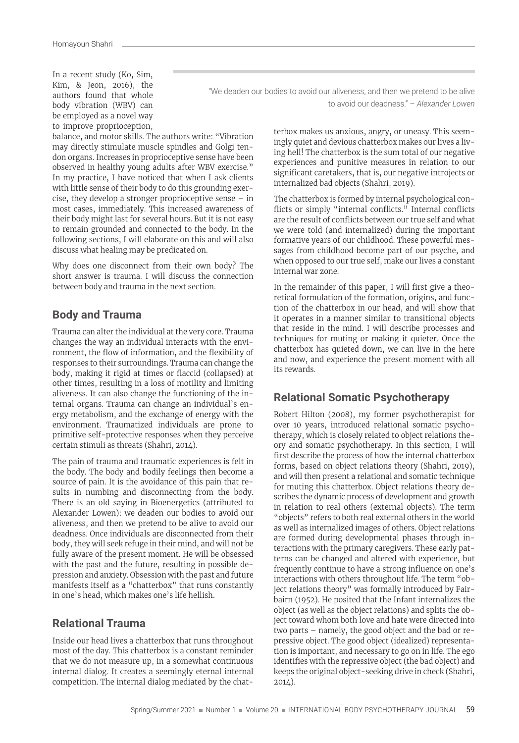In a recent study (Ko, Sim, Kim, & Jeon, 2016), the authors found that whole body vibration (WBV) can be employed as a novel way to improve proprioception,

"We deaden our bodies to avoid our aliveness, and then we pretend to be alive to avoid our deadness." – *Alexander Lowen*

balance, and motor skills. The authors write: "Vibration may directly stimulate muscle spindles and Golgi tendon organs. Increases in proprioceptive sense have been observed in healthy young adults after WBV exercise." In my practice, I have noticed that when I ask clients with little sense of their body to do this grounding exercise, they develop a stronger proprioceptive sense – in most cases, immediately. This increased awareness of their body might last for several hours. But it is not easy to remain grounded and connected to the body. In the following sections, I will elaborate on this and will also discuss what healing may be predicated on.

Why does one disconnect from their own body? The short answer is trauma. I will discuss the connection between body and trauma in the next section.

## **Body and Trauma**

Trauma can alter the individual at the very core. Trauma changes the way an individual interacts with the environment, the flow of information, and the flexibility of responses to their surroundings. Trauma can change the body, making it rigid at times or flaccid (collapsed) at other times, resulting in a loss of motility and limiting aliveness. It can also change the functioning of the internal organs. Trauma can change an individual's energy metabolism, and the exchange of energy with the environment. Traumatized individuals are prone to primitive self-protective responses when they perceive certain stimuli as threats (Shahri, 2014).

The pain of trauma and traumatic experiences is felt in the body. The body and bodily feelings then become a source of pain. It is the avoidance of this pain that results in numbing and disconnecting from the body. There is an old saying in Bioenergetics (attributed to Alexander Lowen): we deaden our bodies to avoid our aliveness, and then we pretend to be alive to avoid our deadness. Once individuals are disconnected from their body, they will seek refuge in their mind, and will not be fully aware of the present moment. He will be obsessed with the past and the future, resulting in possible depression and anxiety. Obsession with the past and future manifests itself as a "chatterbox" that runs constantly in one's head, which makes one's life hellish.

## **Relational Trauma**

Inside our head lives a chatterbox that runs throughout most of the day. This chatterbox is a constant reminder that we do not measure up, in a somewhat continuous internal dialog. It creates a seemingly eternal internal competition. The internal dialog mediated by the chatterbox makes us anxious, angry, or uneasy. This seemingly quiet and devious chatterbox makes our lives a living hell! The chatterbox is the sum total of our negative experiences and punitive measures in relation to our significant caretakers, that is, our negative introjects or internalized bad objects (Shahri, 2019).

The chatterbox is formed by internal psychological conflicts or simply "internal conflicts." Internal conflicts are the result of conflicts between our true self and what we were told (and internalized) during the important formative years of our childhood. These powerful messages from childhood become part of our psyche, and when opposed to our true self, make our lives a constant internal war zone.

In the remainder of this paper, I will first give a theoretical formulation of the formation, origins, and function of the chatterbox in our head, and will show that it operates in a manner similar to transitional objects that reside in the mind. I will describe processes and techniques for muting or making it quieter. Once the chatterbox has quieted down, we can live in the here and now, and experience the present moment with all its rewards.

## **Relational Somatic Psychotherapy**

Robert Hilton (2008), my former psychotherapist for over 10 years, introduced relational somatic psychotherapy, which is closely related to object relations theory and somatic psychotherapy. In this section, I will first describe the process of how the internal chatterbox forms, based on object relations theory (Shahri, 2019), and will then present a relational and somatic technique for muting this chatterbox. Object relations theory describes the dynamic process of development and growth in relation to real others (external objects). The term "objects" refers to both real external others in the world as well as internalized images of others. Object relations are formed during developmental phases through interactions with the primary caregivers. These early patterns can be changed and altered with experience, but frequently continue to have a strong influence on one's interactions with others throughout life. The term "object relations theory" was formally introduced by Fairbairn (1952). He posited that the Infant internalizes the object (as well as the object relations) and splits the object toward whom both love and hate were directed into two parts – namely, the good object and the bad or repressive object. The good object (idealized) representation is important, and necessary to go on in life. The ego identifies with the repressive object (the bad object) and keeps the original object-seeking drive in check (Shahri, 2014).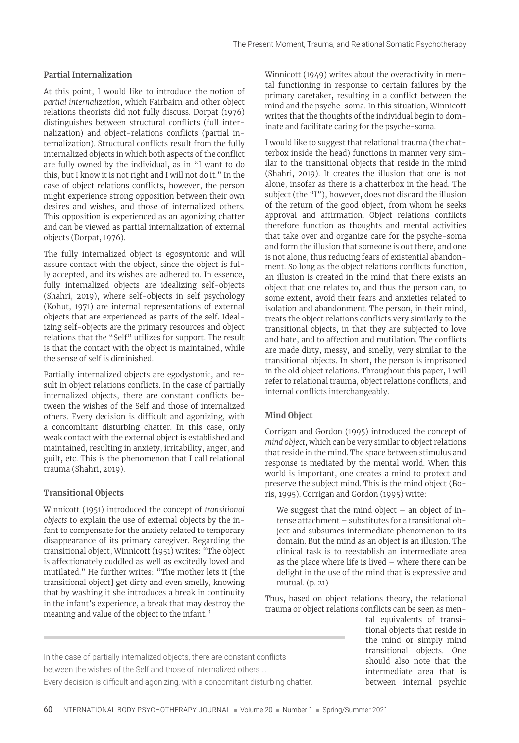#### **Partial Internalization**

At this point, I would like to introduce the notion of *partial internalization*, which Fairbairn and other object relations theorists did not fully discuss. Dorpat (1976) distinguishes between structural conflicts (full internalization) and object-relations conflicts (partial internalization). Structural conflicts result from the fully internalized objects in which both aspects of the conflict are fully owned by the individual, as in "I want to do this, but I know it is not right and I will not do it." In the case of object relations conflicts, however, the person might experience strong opposition between their own desires and wishes, and those of internalized others. This opposition is experienced as an agonizing chatter and can be viewed as partial internalization of external objects (Dorpat, 1976).

The fully internalized object is egosyntonic and will assure contact with the object, since the object is fully accepted, and its wishes are adhered to. In essence, fully internalized objects are idealizing self-objects (Shahri, 2019), where self-objects in self psychology (Kohut, 1971) are internal representations of external objects that are experienced as parts of the self. Idealizing self-objects are the primary resources and object relations that the "Self" utilizes for support. The result is that the contact with the object is maintained, while the sense of self is diminished.

Partially internalized objects are egodystonic, and result in object relations conflicts. In the case of partially internalized objects, there are constant conflicts between the wishes of the Self and those of internalized others. Every decision is difficult and agonizing, with a concomitant disturbing chatter. In this case, only weak contact with the external object is established and maintained, resulting in anxiety, irritability, anger, and guilt, etc. This is the phenomenon that I call relational trauma (Shahri, 2019).

#### **Transitional Objects**

Winnicott (1951) introduced the concept of *transitional objects* to explain the use of external objects by the infant to compensate for the anxiety related to temporary disappearance of its primary caregiver. Regarding the transitional object, Winnicott (1951) writes: "The object is affectionately cuddled as well as excitedly loved and mutilated." He further writes: "The mother lets it [the transitional object] get dirty and even smelly, knowing that by washing it she introduces a break in continuity in the infant's experience, a break that may destroy the meaning and value of the object to the infant."

Winnicott (1949) writes about the overactivity in mental functioning in response to certain failures by the primary caretaker, resulting in a conflict between the mind and the psyche-soma. In this situation, Winnicott writes that the thoughts of the individual begin to dominate and facilitate caring for the psyche-soma.

I would like to suggest that relational trauma (the chatterbox inside the head) functions in manner very similar to the transitional objects that reside in the mind (Shahri, 2019). It creates the illusion that one is not alone, insofar as there is a chatterbox in the head. The subject (the "I"), however, does not discard the illusion of the return of the good object, from whom he seeks approval and affirmation. Object relations conflicts therefore function as thoughts and mental activities that take over and organize care for the psyche-soma and form the illusion that someone is out there, and one is not alone, thus reducing fears of existential abandonment. So long as the object relations conflicts function, an illusion is created in the mind that there exists an object that one relates to, and thus the person can, to some extent, avoid their fears and anxieties related to isolation and abandonment. The person, in their mind, treats the object relations conflicts very similarly to the transitional objects, in that they are subjected to love and hate, and to affection and mutilation. The conflicts are made dirty, messy, and smelly, very similar to the transitional objects. In short, the person is imprisoned in the old object relations. Throughout this paper, I will refer to relational trauma, object relations conflicts, and internal conflicts interchangeably.

#### **Mind Object**

Corrigan and Gordon (1995) introduced the concept of *mind object*, which can be very similar to object relations that reside in the mind. The space between stimulus and response is mediated by the mental world. When this world is important, one creates a mind to protect and preserve the subject mind. This is the mind object (Boris, 1995). Corrigan and Gordon (1995) write:

We suggest that the mind object  $-$  an object of intense attachment – substitutes for a transitional object and subsumes intermediate phenomenon to its domain. But the mind as an object is an illusion. The clinical task is to reestablish an intermediate area as the place where life is lived – where there can be delight in the use of the mind that is expressive and mutual. (p. 21)

Thus, based on object relations theory, the relational trauma or object relations conflicts can be seen as men-

> tal equivalents of transitional objects that reside in the mind or simply mind transitional objects. One should also note that the intermediate area that is between internal psychic

In the case of partially internalized objects, there are constant conflicts between the wishes of the Self and those of internalized others … Every decision is difficult and agonizing, with a concomitant disturbing chatter.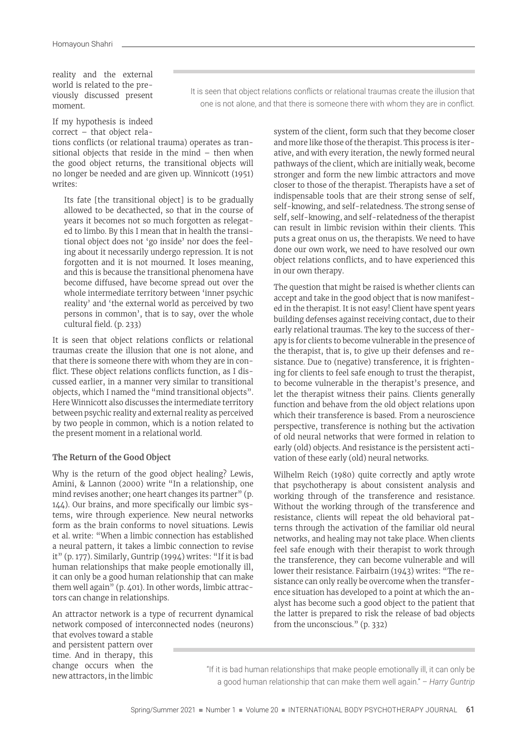reality and the external world is related to the previously discussed present moment.

It is seen that object relations conflicts or relational traumas create the illusion that one is not alone, and that there is someone there with whom they are in conflict.

#### If my hypothesis is indeed correct – that object rela-

tions conflicts (or relational trauma) operates as transitional objects that reside in the mind – then when the good object returns, the transitional objects will no longer be needed and are given up. Winnicott (1951) writes:

Its fate [the transitional object] is to be gradually allowed to be decathected, so that in the course of years it becomes not so much forgotten as relegated to limbo. By this I mean that in health the transitional object does not 'go inside' nor does the feeling about it necessarily undergo repression. It is not forgotten and it is not mourned. It loses meaning, and this is because the transitional phenomena have become diffused, have become spread out over the whole intermediate territory between 'inner psychic reality' and 'the external world as perceived by two persons in common', that is to say, over the whole cultural field. (p. 233)

It is seen that object relations conflicts or relational traumas create the illusion that one is not alone, and that there is someone there with whom they are in conflict. These object relations conflicts function, as I discussed earlier, in a manner very similar to transitional objects, which I named the "mind transitional objects". Here Winnicott also discusses the intermediate territory between psychic reality and external reality as perceived by two people in common, which is a notion related to the present moment in a relational world.

#### **The Return of the Good Object**

Why is the return of the good object healing? Lewis, Amini, & Lannon (2000) write "In a relationship, one mind revises another; one heart changes its partner" (p. 144). Our brains, and more specifically our limbic systems, wire through experience. New neural networks form as the brain conforms to novel situations. Lewis et al. write: "When a limbic connection has established a neural pattern, it takes a limbic connection to revise it" (p. 177). Similarly, Guntrip (1994) writes: "If it is bad human relationships that make people emotionally ill, it can only be a good human relationship that can make them well again" (p. 401). In other words, limbic attractors can change in relationships.

An attractor network is a type of recurrent dynamical network composed of interconnected nodes (neurons)

that evolves toward a stable and persistent pattern over time. And in therapy, this change occurs when the new attractors, in the limbic

system of the client, form such that they become closer and more like those of the therapist. This process is iterative, and with every iteration, the newly formed neural pathways of the client, which are initially weak, become stronger and form the new limbic attractors and move closer to those of the therapist. Therapists have a set of indispensable tools that are their strong sense of self, self-knowing, and self-relatedness. The strong sense of self, self-knowing, and self-relatedness of the therapist can result in limbic revision within their clients. This puts a great onus on us, the therapists. We need to have done our own work, we need to have resolved our own object relations conflicts, and to have experienced this in our own therapy.

The question that might be raised is whether clients can accept and take in the good object that is now manifested in the therapist. It is not easy! Client have spent years building defenses against receiving contact, due to their early relational traumas. The key to the success of therapy is for clients to become vulnerable in the presence of the therapist, that is, to give up their defenses and resistance. Due to (negative) transference, it is frightening for clients to feel safe enough to trust the therapist, to become vulnerable in the therapist's presence, and let the therapist witness their pains. Clients generally function and behave from the old object relations upon which their transference is based. From a neuroscience perspective, transference is nothing but the activation of old neural networks that were formed in relation to early (old) objects. And resistance is the persistent activation of these early (old) neural networks.

Wilhelm Reich (1980) quite correctly and aptly wrote that psychotherapy is about consistent analysis and working through of the transference and resistance. Without the working through of the transference and resistance, clients will repeat the old behavioral patterns through the activation of the familiar old neural networks, and healing may not take place. When clients feel safe enough with their therapist to work through the transference, they can become vulnerable and will lower their resistance. Fairbairn (1943) writes: "The resistance can only really be overcome when the transference situation has developed to a point at which the analyst has become such a good object to the patient that the latter is prepared to risk the release of bad objects from the unconscious." (p. 332)

"If it is bad human relationships that make people emotionally ill, it can only be a good human relationship that can make them well again." – *Harry Guntrip*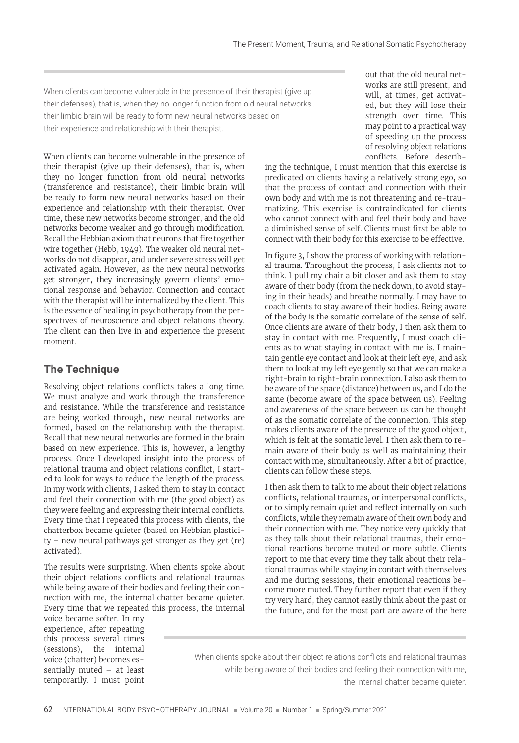When clients can become vulnerable in the presence of their therapist (give up their defenses), that is, when they no longer function from old neural networks… their limbic brain will be ready to form new neural networks based on their experience and relationship with their therapist.

When clients can become vulnerable in the presence of their therapist (give up their defenses), that is, when they no longer function from old neural networks (transference and resistance), their limbic brain will be ready to form new neural networks based on their experience and relationship with their therapist. Over time, these new networks become stronger, and the old networks become weaker and go through modification. Recall the Hebbian axiom that neurons that fire together wire together (Hebb, 1949). The weaker old neural networks do not disappear, and under severe stress will get activated again. However, as the new neural networks get stronger, they increasingly govern clients' emotional response and behavior. Connection and contact with the therapist will be internalized by the client. This is the essence of healing in psychotherapy from the perspectives of neuroscience and object relations theory. The client can then live in and experience the present moment.

## **The Technique**

Resolving object relations conflicts takes a long time. We must analyze and work through the transference and resistance. While the transference and resistance are being worked through, new neural networks are formed, based on the relationship with the therapist. Recall that new neural networks are formed in the brain based on new experience. This is, however, a lengthy process. Once I developed insight into the process of relational trauma and object relations conflict, I started to look for ways to reduce the length of the process. In my work with clients, I asked them to stay in contact and feel their connection with me (the good object) as they were feeling and expressing their internal conflicts. Every time that I repeated this process with clients, the chatterbox became quieter (based on Hebbian plasticity – new neural pathways get stronger as they get (re) activated).

The results were surprising. When clients spoke about their object relations conflicts and relational traumas while being aware of their bodies and feeling their connection with me, the internal chatter became quieter. Every time that we repeated this process, the internal

voice became softer. In my experience, after repeating this process several times (sessions), the internal voice (chatter) becomes essentially muted – at least temporarily. I must point out that the old neural networks are still present, and will, at times, get activated, but they will lose their strength over time. This may point to a practical way of speeding up the process of resolving object relations conflicts. Before describ-

ing the technique, I must mention that this exercise is predicated on clients having a relatively strong ego, so that the process of contact and connection with their own body and with me is not threatening and re-traumatizing. This exercise is contraindicated for clients who cannot connect with and feel their body and have a diminished sense of self. Clients must first be able to connect with their body for this exercise to be effective.

In figure 3, I show the process of working with relational trauma. Throughout the process, I ask clients not to think. I pull my chair a bit closer and ask them to stay aware of their body (from the neck down, to avoid staying in their heads) and breathe normally. I may have to coach clients to stay aware of their bodies. Being aware of the body is the somatic correlate of the sense of self. Once clients are aware of their body, I then ask them to stay in contact with me. Frequently, I must coach clients as to what staying in contact with me is. I maintain gentle eye contact and look at their left eye, and ask them to look at my left eye gently so that we can make a right-brain to right-brain connection. I also ask them to be aware of the space (distance) between us, and I do the same (become aware of the space between us). Feeling and awareness of the space between us can be thought of as the somatic correlate of the connection. This step makes clients aware of the presence of the good object, which is felt at the somatic level. I then ask them to remain aware of their body as well as maintaining their contact with me, simultaneously. After a bit of practice, clients can follow these steps.

I then ask them to talk to me about their object relations conflicts, relational traumas, or interpersonal conflicts, or to simply remain quiet and reflect internally on such conflicts, while they remain aware of their own body and their connection with me. They notice very quickly that as they talk about their relational traumas, their emotional reactions become muted or more subtle. Clients report to me that every time they talk about their relational traumas while staying in contact with themselves and me during sessions, their emotional reactions become more muted. They further report that even if they try very hard, they cannot easily think about the past or the future, and for the most part are aware of the here

When clients spoke about their object relations conflicts and relational traumas while being aware of their bodies and feeling their connection with me, the internal chatter became quieter.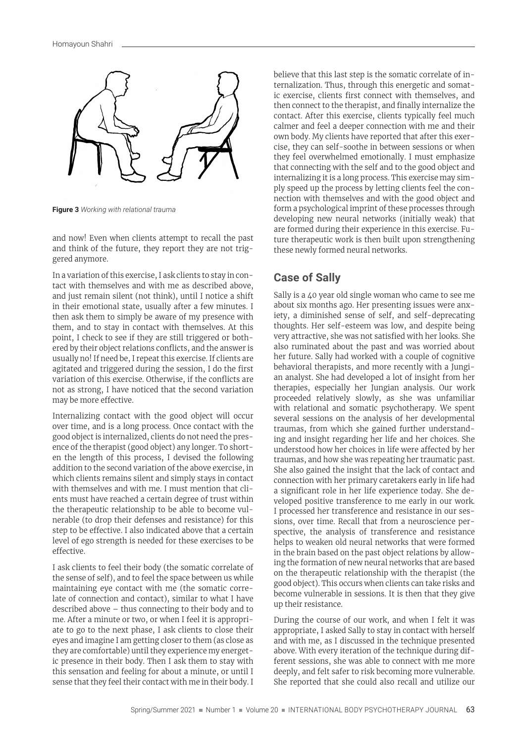

**Figure 3** *Working with relational trauma*

and now! Even when clients attempt to recall the past and think of the future, they report they are not triggered anymore.

In a variation of this exercise, I ask clients to stay in contact with themselves and with me as described above, and just remain silent (not think), until I notice a shift in their emotional state, usually after a few minutes. I then ask them to simply be aware of my presence with them, and to stay in contact with themselves. At this point, I check to see if they are still triggered or bothered by their object relations conflicts, and the answer is usually no! If need be, I repeat this exercise. If clients are agitated and triggered during the session, I do the first variation of this exercise. Otherwise, if the conflicts are not as strong, I have noticed that the second variation may be more effective.

Internalizing contact with the good object will occur over time, and is a long process. Once contact with the good object is internalized, clients do not need the presence of the therapist (good object) any longer. To shorten the length of this process, I devised the following addition to the second variation of the above exercise, in which clients remains silent and simply stays in contact with themselves and with me. I must mention that clients must have reached a certain degree of trust within the therapeutic relationship to be able to become vulnerable (to drop their defenses and resistance) for this step to be effective. I also indicated above that a certain level of ego strength is needed for these exercises to be effective.

I ask clients to feel their body (the somatic correlate of the sense of self), and to feel the space between us while maintaining eye contact with me (the somatic correlate of connection and contact), similar to what I have described above – thus connecting to their body and to me. After a minute or two, or when I feel it is appropriate to go to the next phase, I ask clients to close their eyes and imagine I am getting closer to them (as close as they are comfortable) until they experience my energetic presence in their body. Then I ask them to stay with this sensation and feeling for about a minute, or until I sense that they feel their contact with me in their body. I believe that this last step is the somatic correlate of internalization. Thus, through this energetic and somatic exercise, clients first connect with themselves, and then connect to the therapist, and finally internalize the contact. After this exercise, clients typically feel much calmer and feel a deeper connection with me and their own body. My clients have reported that after this exercise, they can self-soothe in between sessions or when they feel overwhelmed emotionally. I must emphasize that connecting with the self and to the good object and internalizing it is a long process. This exercise may simply speed up the process by letting clients feel the connection with themselves and with the good object and form a psychological imprint of these processes through developing new neural networks (initially weak) that are formed during their experience in this exercise. Future therapeutic work is then built upon strengthening these newly formed neural networks.

### **Case of Sally**

Sally is a 40 year old single woman who came to see me about six months ago. Her presenting issues were anxiety, a diminished sense of self, and self-deprecating thoughts. Her self-esteem was low, and despite being very attractive, she was not satisfied with her looks. She also ruminated about the past and was worried about her future. Sally had worked with a couple of cognitive behavioral therapists, and more recently with a Jungian analyst. She had developed a lot of insight from her therapies, especially her Jungian analysis. Our work proceeded relatively slowly, as she was unfamiliar with relational and somatic psychotherapy. We spent several sessions on the analysis of her developmental traumas, from which she gained further understanding and insight regarding her life and her choices. She understood how her choices in life were affected by her traumas, and how she was repeating her traumatic past. She also gained the insight that the lack of contact and connection with her primary caretakers early in life had a significant role in her life experience today. She developed positive transference to me early in our work. I processed her transference and resistance in our sessions, over time. Recall that from a neuroscience perspective, the analysis of transference and resistance helps to weaken old neural networks that were formed in the brain based on the past object relations by allowing the formation of new neural networks that are based on the therapeutic relationship with the therapist (the good object). This occurs when clients can take risks and become vulnerable in sessions. It is then that they give up their resistance.

During the course of our work, and when I felt it was appropriate, I asked Sally to stay in contact with herself and with me, as I discussed in the technique presented above. With every iteration of the technique during different sessions, she was able to connect with me more deeply, and felt safer to risk becoming more vulnerable. She reported that she could also recall and utilize our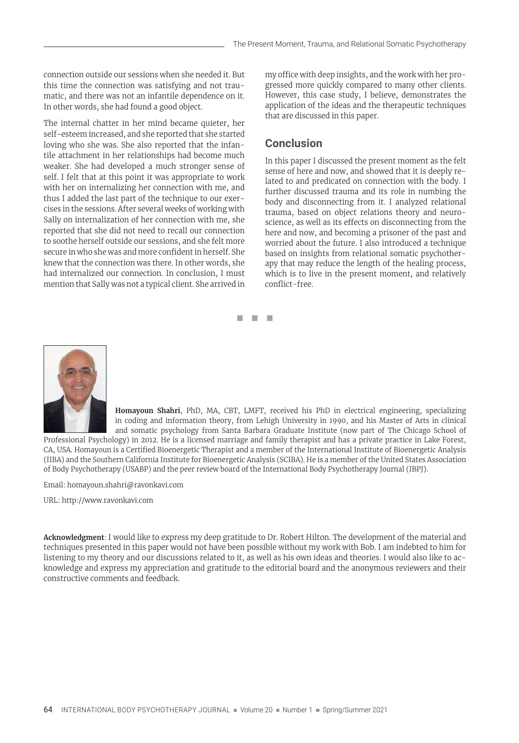connection outside our sessions when she needed it. But this time the connection was satisfying and not traumatic, and there was not an infantile dependence on it. In other words, she had found a good object.

The internal chatter in her mind became quieter, her self-esteem increased, and she reported that she started loving who she was. She also reported that the infantile attachment in her relationships had become much weaker. She had developed a much stronger sense of self. I felt that at this point it was appropriate to work with her on internalizing her connection with me, and thus I added the last part of the technique to our exercises in the sessions. After several weeks of working with Sally on internalization of her connection with me, she reported that she did not need to recall our connection to soothe herself outside our sessions, and she felt more secure in who she was and more confident in herself. She knew that the connection was there. In other words, she had internalized our connection. In conclusion, I must mention that Sally was not a typical client. She arrived in my office with deep insights, and the work with her progressed more quickly compared to many other clients. However, this case study, I believe, demonstrates the application of the ideas and the therapeutic techniques that are discussed in this paper.

## **Conclusion**

In this paper I discussed the present moment as the felt sense of here and now, and showed that it is deeply related to and predicated on connection with the body. I further discussed trauma and its role in numbing the body and disconnecting from it. I analyzed relational trauma, based on object relations theory and neuroscience, as well as its effects on disconnecting from the here and now, and becoming a prisoner of the past and worried about the future. I also introduced a technique based on insights from relational somatic psychotherapy that may reduce the length of the healing process, which is to live in the present moment, and relatively conflict-free.



**Homayoun Shahri**, PhD, MA, CBT, LMFT, received his PhD in electrical engineering, specializing in coding and information theory, from Lehigh University in 1990, and his Master of Arts in clinical and somatic psychology from Santa Barbara Graduate Institute (now part of The Chicago School of

Professional Psychology) in 2012. He is a licensed marriage and family therapist and has a private practice in Lake Forest, CA, USA. Homayoun is a Certified Bioenergetic Therapist and a member of the International Institute of Bioenergetic Analysis (IIBA) and the Southern California Institute for Bioenergetic Analysis (SCIBA). He is a member of the United States Association of Body Psychotherapy (USABP) and the peer review board of the International Body Psychotherapy Journal (IBPJ).

◼ ◼ ◼

Email: homayoun.shahri@ravonkavi.com

URL: http://www.ravonkavi.com

**Acknowledgment**: I would like to express my deep gratitude to Dr. Robert Hilton. The development of the material and techniques presented in this paper would not have been possible without my work with Bob. I am indebted to him for listening to my theory and our discussions related to it, as well as his own ideas and theories. I would also like to acknowledge and express my appreciation and gratitude to the editorial board and the anonymous reviewers and their constructive comments and feedback.